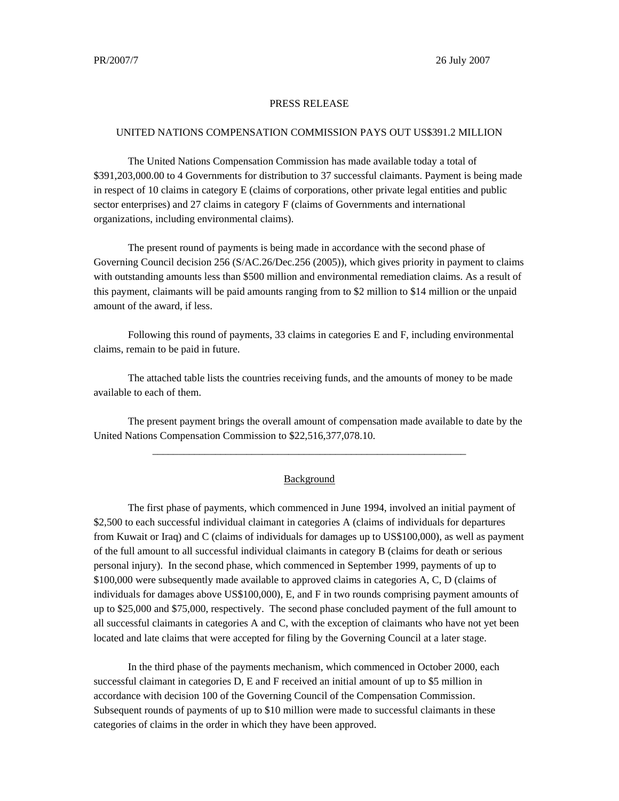## PRESS RELEASE

## UNITED NATIONS COMPENSATION COMMISSION PAYS OUT US\$391.2 MILLION

The United Nations Compensation Commission has made available today a total of \$391,203,000.00 to 4 Governments for distribution to 37 successful claimants. Payment is being made in respect of 10 claims in category E (claims of corporations, other private legal entities and public sector enterprises) and 27 claims in category F (claims of Governments and international organizations, including environmental claims).

The present round of payments is being made in accordance with the second phase of Governing Council decision 256 (S/AC.26/Dec.256 (2005)), which gives priority in payment to claims with outstanding amounts less than \$500 million and environmental remediation claims. As a result of this payment, claimants will be paid amounts ranging from to \$2 million to \$14 million or the unpaid amount of the award, if less.

Following this round of payments, 33 claims in categories E and F, including environmental claims, remain to be paid in future.

The attached table lists the countries receiving funds, and the amounts of money to be made available to each of them.

The present payment brings the overall amount of compensation made available to date by the United Nations Compensation Commission to \$22,516,377,078.10.

\_\_\_\_\_\_\_\_\_\_\_\_\_\_\_\_\_\_\_\_\_\_\_\_\_\_\_\_\_\_\_\_\_\_\_\_\_\_\_\_\_\_\_\_\_\_\_\_\_\_\_\_\_\_\_\_\_\_\_\_

## **Background**

The first phase of payments, which commenced in June 1994, involved an initial payment of \$2,500 to each successful individual claimant in categories A (claims of individuals for departures from Kuwait or Iraq) and C (claims of individuals for damages up to US\$100,000), as well as payment of the full amount to all successful individual claimants in category B (claims for death or serious personal injury). In the second phase, which commenced in September 1999, payments of up to \$100,000 were subsequently made available to approved claims in categories A, C, D (claims of individuals for damages above US\$100,000), E, and F in two rounds comprising payment amounts of up to \$25,000 and \$75,000, respectively. The second phase concluded payment of the full amount to all successful claimants in categories A and C, with the exception of claimants who have not yet been located and late claims that were accepted for filing by the Governing Council at a later stage.

In the third phase of the payments mechanism, which commenced in October 2000, each successful claimant in categories D, E and F received an initial amount of up to \$5 million in accordance with decision 100 of the Governing Council of the Compensation Commission. Subsequent rounds of payments of up to \$10 million were made to successful claimants in these categories of claims in the order in which they have been approved.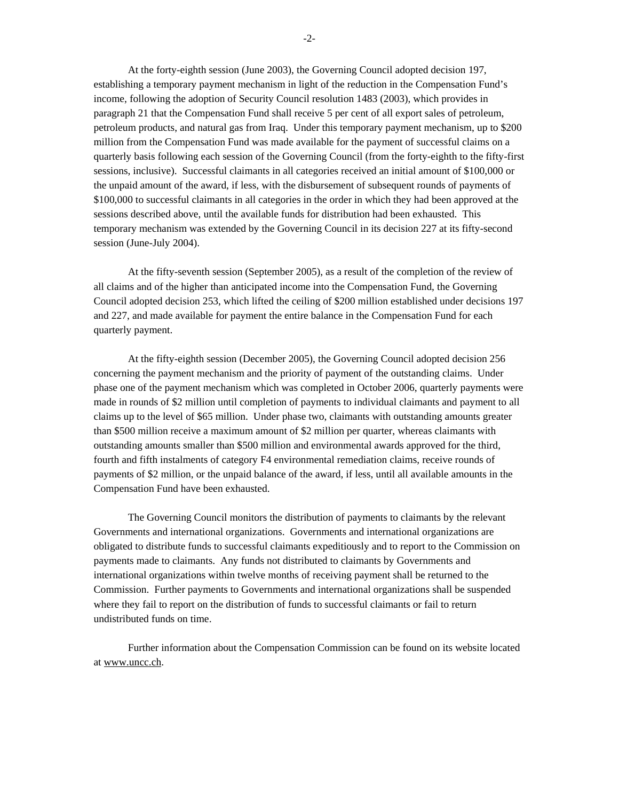At the forty-eighth session (June 2003), the Governing Council adopted decision 197, establishing a temporary payment mechanism in light of the reduction in the Compensation Fund's income, following the adoption of Security Council resolution 1483 (2003), which provides in paragraph 21 that the Compensation Fund shall receive 5 per cent of all export sales of petroleum, petroleum products, and natural gas from Iraq. Under this temporary payment mechanism, up to \$200 million from the Compensation Fund was made available for the payment of successful claims on a quarterly basis following each session of the Governing Council (from the forty-eighth to the fifty-first sessions, inclusive). Successful claimants in all categories received an initial amount of \$100,000 or the unpaid amount of the award, if less, with the disbursement of subsequent rounds of payments of \$100,000 to successful claimants in all categories in the order in which they had been approved at the sessions described above, until the available funds for distribution had been exhausted. This temporary mechanism was extended by the Governing Council in its decision 227 at its fifty-second session (June-July 2004).

At the fifty-seventh session (September 2005), as a result of the completion of the review of all claims and of the higher than anticipated income into the Compensation Fund, the Governing Council adopted decision 253, which lifted the ceiling of \$200 million established under decisions 197 and 227, and made available for payment the entire balance in the Compensation Fund for each quarterly payment.

At the fifty-eighth session (December 2005), the Governing Council adopted decision 256 concerning the payment mechanism and the priority of payment of the outstanding claims. Under phase one of the payment mechanism which was completed in October 2006, quarterly payments were made in rounds of \$2 million until completion of payments to individual claimants and payment to all claims up to the level of \$65 million. Under phase two, claimants with outstanding amounts greater than \$500 million receive a maximum amount of \$2 million per quarter, whereas claimants with outstanding amounts smaller than \$500 million and environmental awards approved for the third, fourth and fifth instalments of category F4 environmental remediation claims, receive rounds of payments of \$2 million, or the unpaid balance of the award, if less, until all available amounts in the Compensation Fund have been exhausted.

The Governing Council monitors the distribution of payments to claimants by the relevant Governments and international organizations. Governments and international organizations are obligated to distribute funds to successful claimants expeditiously and to report to the Commission on payments made to claimants. Any funds not distributed to claimants by Governments and international organizations within twelve months of receiving payment shall be returned to the Commission. Further payments to Governments and international organizations shall be suspended where they fail to report on the distribution of funds to successful claimants or fail to return undistributed funds on time.

Further information about the Compensation Commission can be found on its website located at www.uncc.ch.